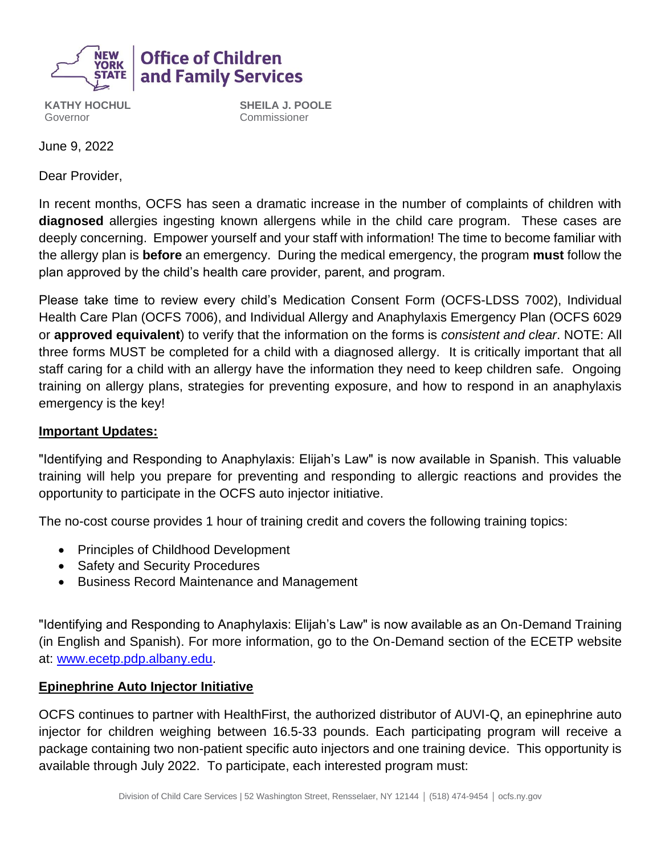

# **Office of Children** and Family Services

**KATHY HOCHUL** Governor

**SHEILA J. POOLE** Commissioner

June 9, 2022

Dear Provider,

In recent months, OCFS has seen a dramatic increase in the number of complaints of children with **diagnosed** allergies ingesting known allergens while in the child care program. These cases are deeply concerning. Empower yourself and your staff with information! The time to become familiar with the allergy plan is **before** an emergency. During the medical emergency, the program **must** follow the plan approved by the child's health care provider, parent, and program.

Please take time to review every child's Medication Consent Form (OCFS-LDSS 7002), Individual Health Care Plan (OCFS 7006), and Individual Allergy and Anaphylaxis Emergency Plan (OCFS 6029 or **approved equivalent**) to verify that the information on the forms is *consistent and clear*. NOTE: All three forms MUST be completed for a child with a diagnosed allergy. It is critically important that all staff caring for a child with an allergy have the information they need to keep children safe. Ongoing training on allergy plans, strategies for preventing exposure, and how to respond in an anaphylaxis emergency is the key!

## **Important Updates:**

"Identifying and Responding to Anaphylaxis: Elijah's Law" is now available in Spanish. This valuable training will help you prepare for preventing and responding to allergic reactions and provides the opportunity to participate in the OCFS auto injector initiative.

The no-cost course provides 1 hour of training credit and covers the following training topics:

- Principles of Childhood Development
- Safety and Security Procedures
- Business Record Maintenance and Management

"Identifying and Responding to Anaphylaxis: Elijah's Law" is now available as an On-Demand Training (in English and Spanish). For more information, go to the On-Demand section of the ECETP website at: [www.ecetp.pdp.albany.edu.](http://www.ecetp.pdp.albany.edu/)

## **Epinephrine Auto Injector Initiative**

OCFS continues to partner with HealthFirst, the authorized distributor of AUVI-Q, an epinephrine auto injector for children weighing between 16.5-33 pounds. Each participating program will receive a package containing two non-patient specific auto injectors and one training device. This opportunity is available through July 2022. To participate, each interested program must: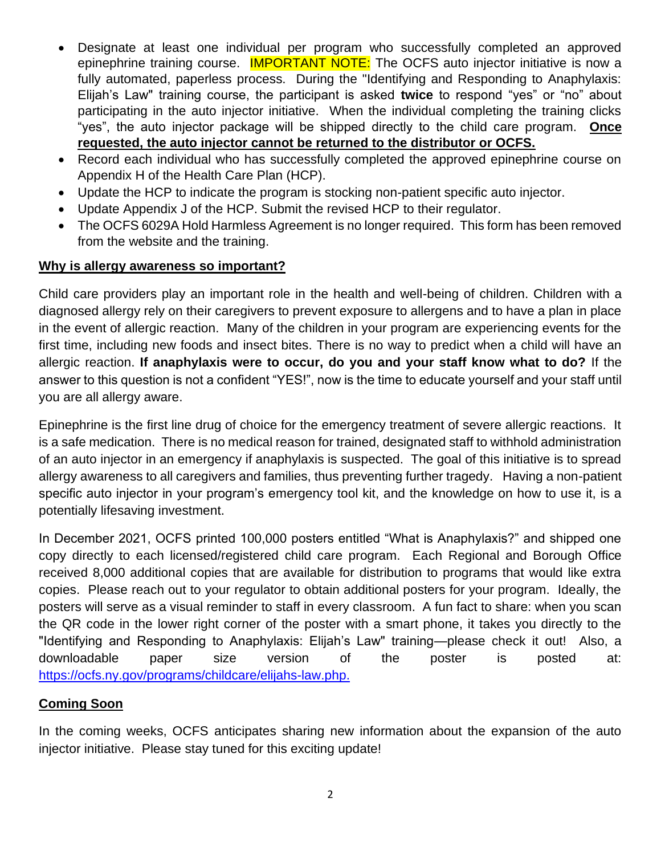- Designate at least one individual per program who successfully completed an approved epinephrine training course. **IMPORTANT NOTE:** The OCFS auto injector initiative is now a fully automated, paperless process. During the "Identifying and Responding to Anaphylaxis: Elijah's Law" training course, the participant is asked **twice** to respond "yes" or "no" about participating in the auto injector initiative. When the individual completing the training clicks "yes", the auto injector package will be shipped directly to the child care program. **Once requested, the auto injector cannot be returned to the distributor or OCFS.**
- Record each individual who has successfully completed the approved epinephrine course on Appendix H of the Health Care Plan (HCP).
- Update the HCP to indicate the program is stocking non-patient specific auto injector.
- Update Appendix J of the HCP. Submit the revised HCP to their regulator.
- The OCFS 6029A Hold Harmless Agreement is no longer required. This form has been removed from the website and the training.

## **Why is allergy awareness so important?**

Child care providers play an important role in the health and well-being of children. Children with a diagnosed allergy rely on their caregivers to prevent exposure to allergens and to have a plan in place in the event of allergic reaction. Many of the children in your program are experiencing events for the first time, including new foods and insect bites. There is no way to predict when a child will have an allergic reaction. **If anaphylaxis were to occur, do you and your staff know what to do?** If the answer to this question is not a confident "YES!", now is the time to educate yourself and your staff until you are all allergy aware.

Epinephrine is the first line drug of choice for the emergency treatment of severe allergic reactions. It is a safe medication. There is no medical reason for trained, designated staff to withhold administration of an auto injector in an emergency if anaphylaxis is suspected. The goal of this initiative is to spread allergy awareness to all caregivers and families, thus preventing further tragedy. Having a non-patient specific auto injector in your program's emergency tool kit, and the knowledge on how to use it, is a potentially lifesaving investment.

In December 2021, OCFS printed 100,000 posters entitled "What is Anaphylaxis?" and shipped one copy directly to each licensed/registered child care program. Each Regional and Borough Office received 8,000 additional copies that are available for distribution to programs that would like extra copies. Please reach out to your regulator to obtain additional posters for your program. Ideally, the posters will serve as a visual reminder to staff in every classroom. A fun fact to share: when you scan the QR code in the lower right corner of the poster with a smart phone, it takes you directly to the "Identifying and Responding to Anaphylaxis: Elijah's Law" training—please check it out! Also, a downloadable paper size version of the poster is posted at: [https://ocfs.ny.gov/programs/childcare/elijahs-law.php.](https://ocfs.ny.gov/programs/childcare/elijahs-law.php)

### **Coming Soon**

In the coming weeks, OCFS anticipates sharing new information about the expansion of the auto injector initiative. Please stay tuned for this exciting update!